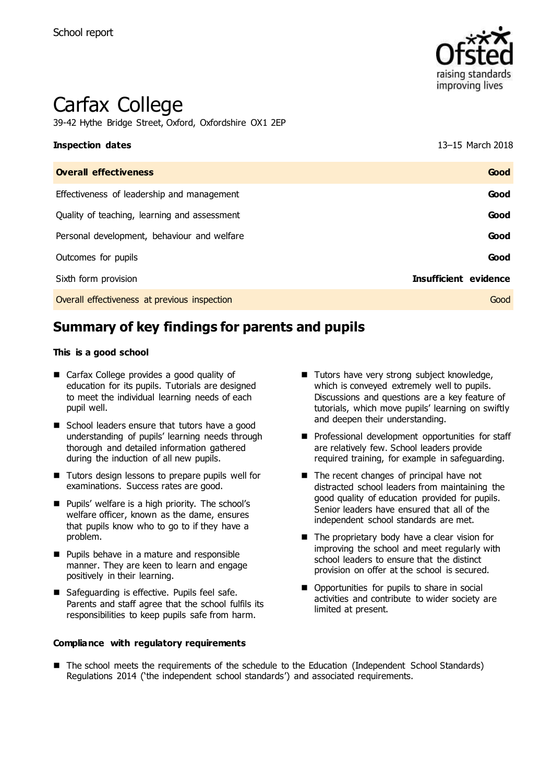

# Carfax College

39-42 Hythe Bridge Street, Oxford, Oxfordshire OX1 2EP

# **Inspection dates** 13–15 March 2018 **Overall effectiveness Good** Effectiveness of leadership and management **Good** Quality of teaching, learning and assessment **Good** Personal development, behaviour and welfare **Good** Outcomes for pupils **Good** Sixth form provision **Insufficient evidence** Overall effectiveness at previous inspection Good

# **Summary of key findings for parents and pupils**

#### **This is a good school**

- Carfax College provides a good quality of education for its pupils. Tutorials are designed to meet the individual learning needs of each pupil well.
- School leaders ensure that tutors have a good understanding of pupils' learning needs through thorough and detailed information gathered during the induction of all new pupils.
- Tutors design lessons to prepare pupils well for examinations. Success rates are good.
- **Pupils'** welfare is a high priority. The school's welfare officer, known as the dame, ensures that pupils know who to go to if they have a problem.
- **Pupils behave in a mature and responsible** manner. They are keen to learn and engage positively in their learning.
- Safeguarding is effective. Pupils feel safe. Parents and staff agree that the school fulfils its responsibilities to keep pupils safe from harm.

#### **Compliance with regulatory requirements**

- Tutors have very strong subject knowledge, which is conveyed extremely well to pupils. Discussions and questions are a key feature of tutorials, which move pupils' learning on swiftly and deepen their understanding.
- **Professional development opportunities for staff** are relatively few. School leaders provide required training, for example in safeguarding.
- The recent changes of principal have not distracted school leaders from maintaining the good quality of education provided for pupils. Senior leaders have ensured that all of the independent school standards are met.
- The proprietary body have a clear vision for improving the school and meet regularly with school leaders to ensure that the distinct provision on offer at the school is secured.
- Opportunities for pupils to share in social activities and contribute to wider society are limited at present.
- The school meets the requirements of the schedule to the Education (Independent School Standards) Regulations 2014 ('the independent school standards') and associated requirements.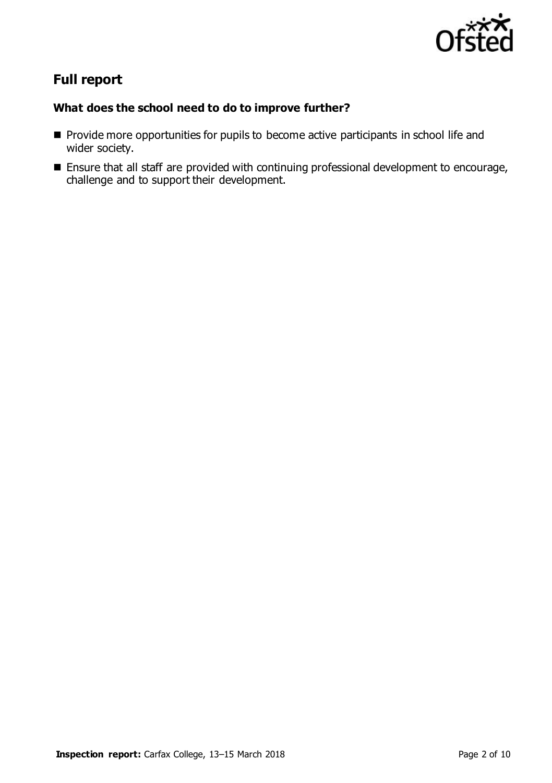

## **Full report**

### **What does the school need to do to improve further?**

- **Provide more opportunities for pupils to become active participants in school life and** wider society.
- Ensure that all staff are provided with continuing professional development to encourage, challenge and to support their development.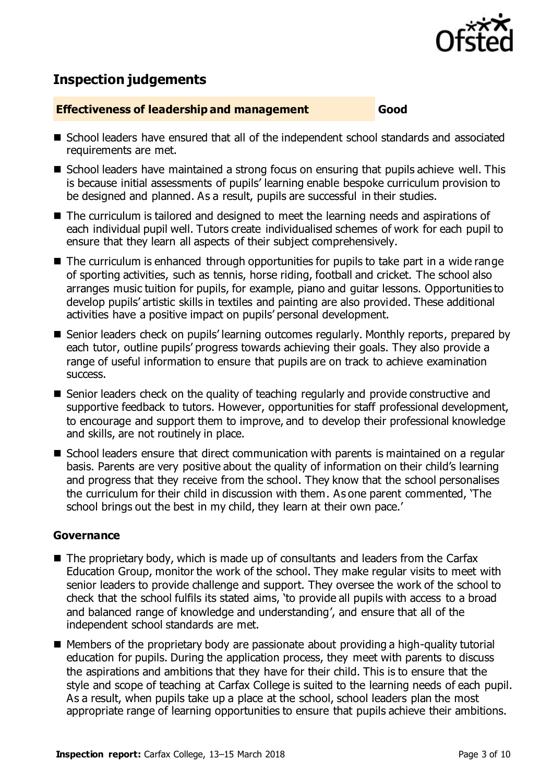

# **Inspection judgements**

#### **Effectiveness of leadership and management Good**

- School leaders have ensured that all of the independent school standards and associated requirements are met.
- School leaders have maintained a strong focus on ensuring that pupils achieve well. This is because initial assessments of pupils' learning enable bespoke curriculum provision to be designed and planned. As a result, pupils are successful in their studies.
- The curriculum is tailored and designed to meet the learning needs and aspirations of each individual pupil well. Tutors create individualised schemes of work for each pupil to ensure that they learn all aspects of their subject comprehensively.
- The curriculum is enhanced through opportunities for pupils to take part in a wide range of sporting activities, such as tennis, horse riding, football and cricket. The school also arranges music tuition for pupils, for example, piano and guitar lessons. Opportunities to develop pupils' artistic skills in textiles and painting are also provided. These additional activities have a positive impact on pupils' personal development.
- Senior leaders check on pupils' learning outcomes regularly. Monthly reports, prepared by each tutor, outline pupils' progress towards achieving their goals. They also provide a range of useful information to ensure that pupils are on track to achieve examination success.
- Senior leaders check on the quality of teaching regularly and provide constructive and supportive feedback to tutors. However, opportunities for staff professional development, to encourage and support them to improve, and to develop their professional knowledge and skills, are not routinely in place.
- School leaders ensure that direct communication with parents is maintained on a regular basis. Parents are very positive about the quality of information on their child's learning and progress that they receive from the school. They know that the school personalises the curriculum for their child in discussion with them. As one parent commented, 'The school brings out the best in my child, they learn at their own pace.'

#### **Governance**

- The proprietary body, which is made up of consultants and leaders from the Carfax Education Group, monitor the work of the school. They make regular visits to meet with senior leaders to provide challenge and support. They oversee the work of the school to check that the school fulfils its stated aims, 'to provide all pupils with access to a broad and balanced range of knowledge and understanding', and ensure that all of the independent school standards are met.
- Members of the proprietary body are passionate about providing a high-quality tutorial education for pupils. During the application process, they meet with parents to discuss the aspirations and ambitions that they have for their child. This is to ensure that the style and scope of teaching at Carfax College is suited to the learning needs of each pupil. As a result, when pupils take up a place at the school, school leaders plan the most appropriate range of learning opportunities to ensure that pupils achieve their ambitions.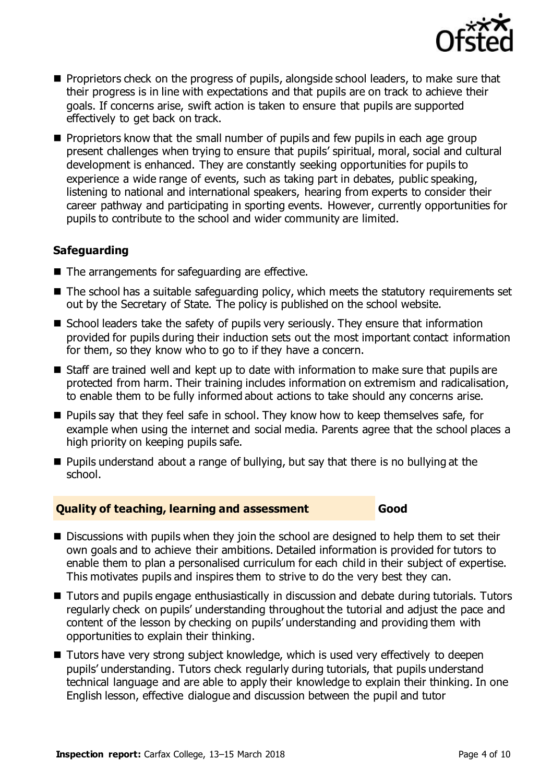

- **Proprietors check on the progress of pupils, alongside school leaders, to make sure that** their progress is in line with expectations and that pupils are on track to achieve their goals. If concerns arise, swift action is taken to ensure that pupils are supported effectively to get back on track.
- $\blacksquare$  Proprietors know that the small number of pupils and few pupils in each age group present challenges when trying to ensure that pupils' spiritual, moral, social and cultural development is enhanced. They are constantly seeking opportunities for pupils to experience a wide range of events, such as taking part in debates, public speaking, listening to national and international speakers, hearing from experts to consider their career pathway and participating in sporting events. However, currently opportunities for pupils to contribute to the school and wider community are limited.

#### **Safeguarding**

- The arrangements for safeguarding are effective.
- The school has a suitable safeguarding policy, which meets the statutory requirements set out by the Secretary of State. The policy is published on the school website.
- $\blacksquare$  School leaders take the safety of pupils very seriously. They ensure that information provided for pupils during their induction sets out the most important contact information for them, so they know who to go to if they have a concern.
- Staff are trained well and kept up to date with information to make sure that pupils are protected from harm. Their training includes information on extremism and radicalisation, to enable them to be fully informed about actions to take should any concerns arise.
- **Pupils say that they feel safe in school. They know how to keep themselves safe, for** example when using the internet and social media. Parents agree that the school places a high priority on keeping pupils safe.
- **Pupils understand about a range of bullying, but say that there is no bullying at the** school.

#### **Quality of teaching, learning and assessment Good**

- Discussions with pupils when they join the school are designed to help them to set their own goals and to achieve their ambitions. Detailed information is provided for tutors to enable them to plan a personalised curriculum for each child in their subject of expertise. This motivates pupils and inspires them to strive to do the very best they can.
- Tutors and pupils engage enthusiastically in discussion and debate during tutorials. Tutors regularly check on pupils' understanding throughout the tutorial and adjust the pace and content of the lesson by checking on pupils' understanding and providing them with opportunities to explain their thinking.
- Tutors have very strong subject knowledge, which is used very effectively to deepen pupils' understanding. Tutors check regularly during tutorials, that pupils understand technical language and are able to apply their knowledge to explain their thinking. In one English lesson, effective dialogue and discussion between the pupil and tutor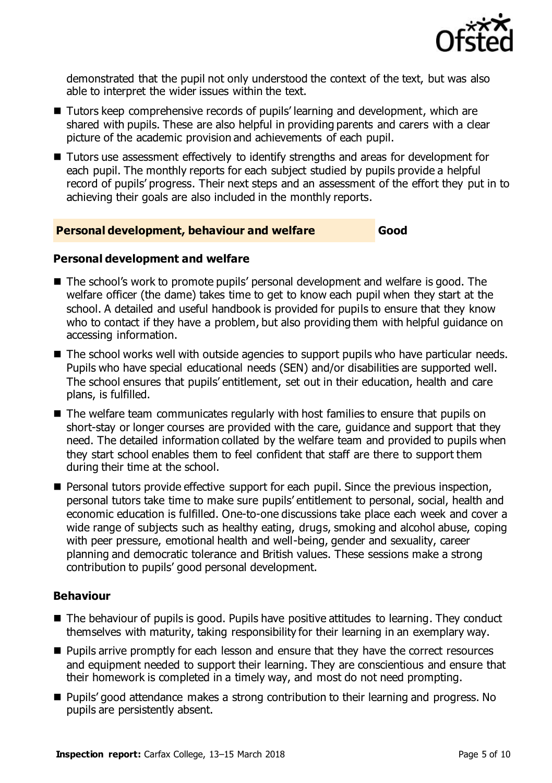

demonstrated that the pupil not only understood the context of the text, but was also able to interpret the wider issues within the text.

- Tutors keep comprehensive records of pupils' learning and development, which are shared with pupils. These are also helpful in providing parents and carers with a clear picture of the academic provision and achievements of each pupil.
- Tutors use assessment effectively to identify strengths and areas for development for each pupil. The monthly reports for each subject studied by pupils provide a helpful record of pupils' progress. Their next steps and an assessment of the effort they put in to achieving their goals are also included in the monthly reports.

#### **Personal development, behaviour and welfare Good**

#### **Personal development and welfare**

- The school's work to promote pupils' personal development and welfare is good. The welfare officer (the dame) takes time to get to know each pupil when they start at the school. A detailed and useful handbook is provided for pupils to ensure that they know who to contact if they have a problem, but also providing them with helpful guidance on accessing information.
- The school works well with outside agencies to support pupils who have particular needs. Pupils who have special educational needs (SEN) and/or disabilities are supported well. The school ensures that pupils' entitlement, set out in their education, health and care plans, is fulfilled.
- The welfare team communicates regularly with host families to ensure that pupils on short-stay or longer courses are provided with the care, guidance and support that they need. The detailed information collated by the welfare team and provided to pupils when they start school enables them to feel confident that staff are there to support them during their time at the school.
- **Personal tutors provide effective support for each pupil. Since the previous inspection,** personal tutors take time to make sure pupils' entitlement to personal, social, health and economic education is fulfilled. One-to-one discussions take place each week and cover a wide range of subjects such as healthy eating, drugs, smoking and alcohol abuse, coping with peer pressure, emotional health and well-being, gender and sexuality, career planning and democratic tolerance and British values. These sessions make a strong contribution to pupils' good personal development.

#### **Behaviour**

- The behaviour of pupils is good. Pupils have positive attitudes to learning. They conduct themselves with maturity, taking responsibility for their learning in an exemplary way.
- **Pupils arrive promptly for each lesson and ensure that they have the correct resources** and equipment needed to support their learning. They are conscientious and ensure that their homework is completed in a timely way, and most do not need prompting.
- **Pupils' good attendance makes a strong contribution to their learning and progress. No** pupils are persistently absent.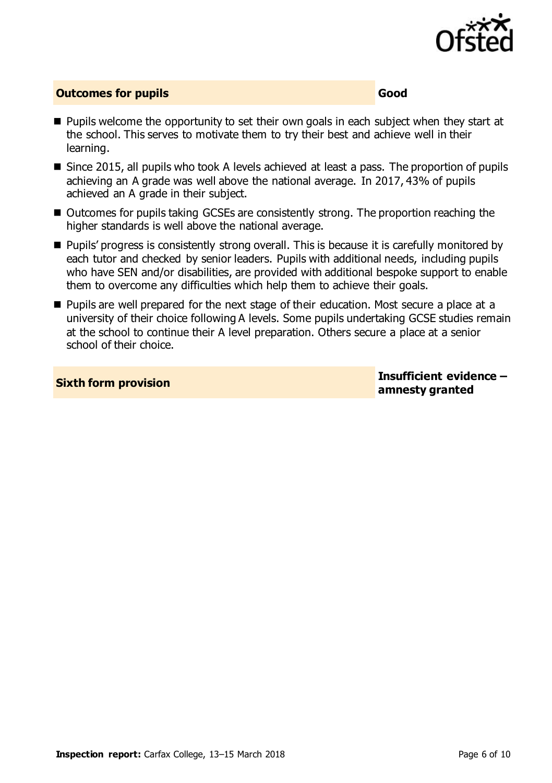

#### **Outcomes for pupils Good Good**

- **Pupils welcome the opportunity to set their own goals in each subject when they start at** the school. This serves to motivate them to try their best and achieve well in their learning.
- Since 2015, all pupils who took A levels achieved at least a pass. The proportion of pupils achieving an A grade was well above the national average. In 2017, 43% of pupils achieved an A grade in their subject.
- Outcomes for pupils taking GCSEs are consistently strong. The proportion reaching the higher standards is well above the national average.
- **Pupils' progress is consistently strong overall. This is because it is carefully monitored by** each tutor and checked by senior leaders. Pupils with additional needs, including pupils who have SEN and/or disabilities, are provided with additional bespoke support to enable them to overcome any difficulties which help them to achieve their goals.
- **Pupils are well prepared for the next stage of their education. Most secure a place at a** university of their choice following A levels. Some pupils undertaking GCSE studies remain at the school to continue their A level preparation. Others secure a place at a senior school of their choice.

**Sixth form provision Insufficient evidence – amnesty granted**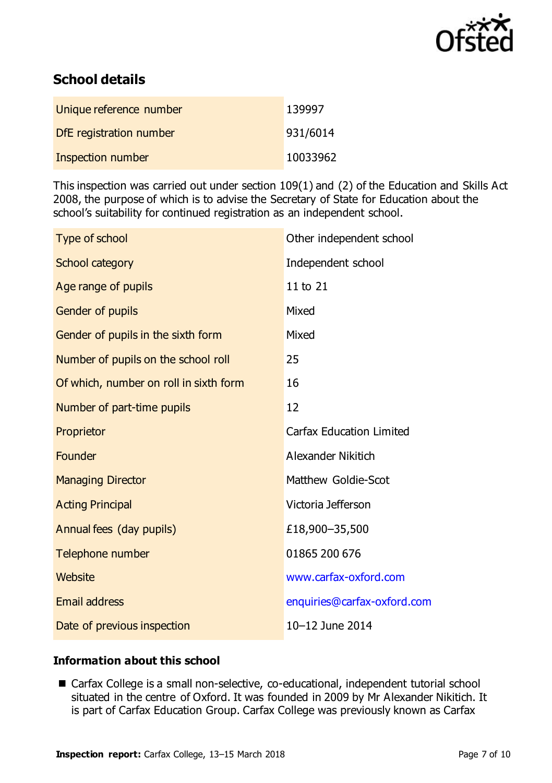

# **School details**

| Unique reference number  | 139997   |
|--------------------------|----------|
| DfE registration number  | 931/6014 |
| <b>Inspection number</b> | 10033962 |

This inspection was carried out under section 109(1) and (2) of the Education and Skills Act 2008, the purpose of which is to advise the Secretary of State for Education about the school's suitability for continued registration as an independent school.

| Other independent school        |
|---------------------------------|
| Independent school              |
| 11 to 21                        |
| Mixed                           |
| Mixed                           |
| 25                              |
| 16                              |
| 12                              |
| <b>Carfax Education Limited</b> |
| Alexander Nikitich              |
| Matthew Goldie-Scot             |
| Victoria Jefferson              |
| £18,900-35,500                  |
| 01865 200 676                   |
| www.carfax-oxford.com           |
| enquiries@carfax-oxford.com     |
| 10-12 June 2014                 |
|                                 |

### **Information about this school**

■ Carfax College is a small non-selective, co-educational, independent tutorial school situated in the centre of Oxford. It was founded in 2009 by Mr Alexander Nikitich. It is part of Carfax Education Group. Carfax College was previously known as Carfax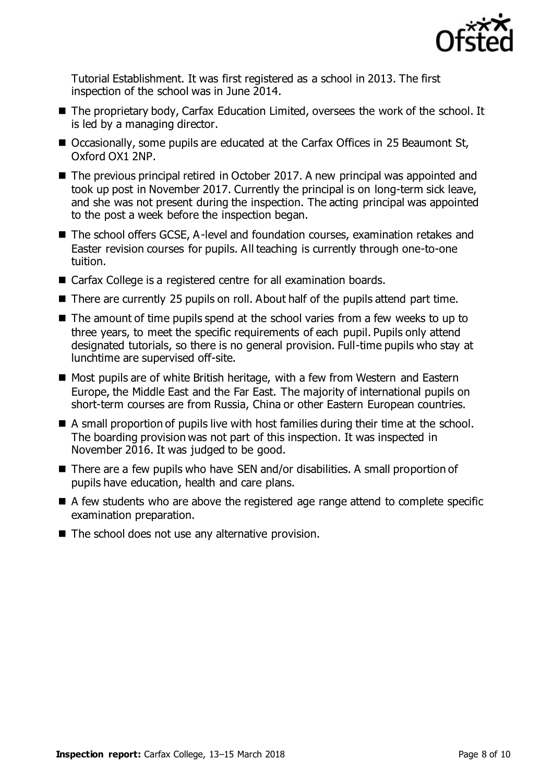

Tutorial Establishment. It was first registered as a school in 2013. The first inspection of the school was in June 2014.

- The proprietary body, Carfax Education Limited, oversees the work of the school. It is led by a managing director.
- Occasionally, some pupils are educated at the Carfax Offices in 25 Beaumont St, Oxford OX1 2NP.
- The previous principal retired in October 2017. A new principal was appointed and took up post in November 2017. Currently the principal is on long-term sick leave, and she was not present during the inspection. The acting principal was appointed to the post a week before the inspection began.
- The school offers GCSE, A-level and foundation courses, examination retakes and Easter revision courses for pupils. All teaching is currently through one-to-one tuition.
- Carfax College is a registered centre for all examination boards.
- There are currently 25 pupils on roll. About half of the pupils attend part time.
- The amount of time pupils spend at the school varies from a few weeks to up to three years, to meet the specific requirements of each pupil. Pupils only attend designated tutorials, so there is no general provision. Full-time pupils who stay at lunchtime are supervised off-site.
- Most pupils are of white British heritage, with a few from Western and Eastern Europe, the Middle East and the Far East. The majority of international pupils on short-term courses are from Russia, China or other Eastern European countries.
- A small proportion of pupils live with host families during their time at the school. The boarding provision was not part of this inspection. It was inspected in November 2016. It was judged to be good.
- There are a few pupils who have SEN and/or disabilities. A small proportion of pupils have education, health and care plans.
- A few students who are above the registered age range attend to complete specific examination preparation.
- $\blacksquare$  The school does not use any alternative provision.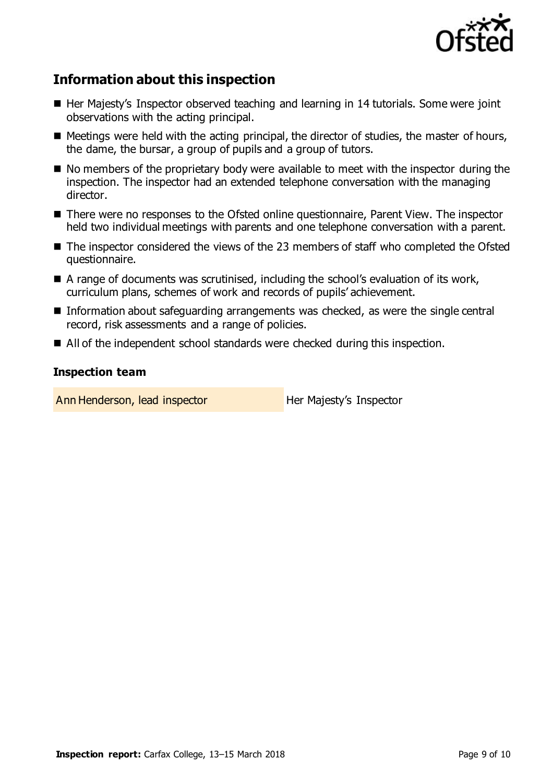

# **Information about this inspection**

- Her Majesty's Inspector observed teaching and learning in 14 tutorials. Some were joint observations with the acting principal.
- $\blacksquare$  Meetings were held with the acting principal, the director of studies, the master of hours, the dame, the bursar, a group of pupils and a group of tutors.
- No members of the proprietary body were available to meet with the inspector during the inspection. The inspector had an extended telephone conversation with the managing director.
- There were no responses to the Ofsted online questionnaire, Parent View. The inspector held two individual meetings with parents and one telephone conversation with a parent.
- The inspector considered the views of the 23 members of staff who completed the Ofsted questionnaire.
- $\blacksquare$  A range of documents was scrutinised, including the school's evaluation of its work, curriculum plans, schemes of work and records of pupils' achievement.
- Information about safeguarding arrangements was checked, as were the single central record, risk assessments and a range of policies.
- All of the independent school standards were checked during this inspection.

#### **Inspection team**

Ann Henderson, lead inspector **Her Majesty's Inspector**